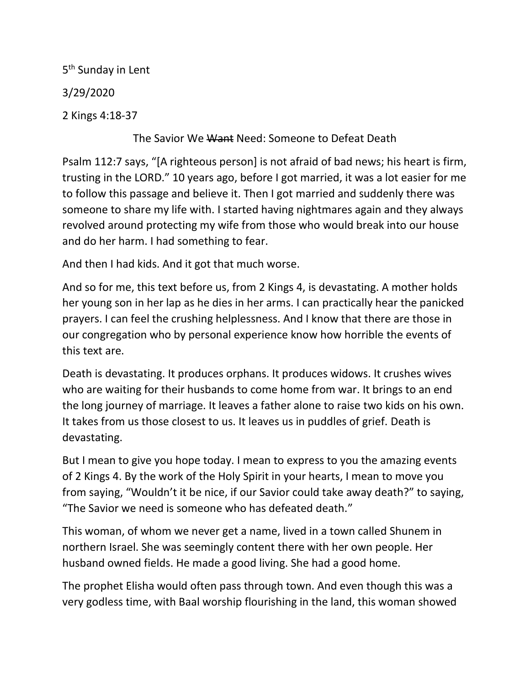5<sup>th</sup> Sunday in Lent 3/29/2020

2 Kings 4:18-37

## The Savior We Want Need: Someone to Defeat Death

Psalm 112:7 says, "[A righteous person] is not afraid of bad news; his heart is firm, trusting in the LORD." 10 years ago, before I got married, it was a lot easier for me to follow this passage and believe it. Then I got married and suddenly there was someone to share my life with. I started having nightmares again and they always revolved around protecting my wife from those who would break into our house and do her harm. I had something to fear.

And then I had kids. And it got that much worse.

And so for me, this text before us, from 2 Kings 4, is devastating. A mother holds her young son in her lap as he dies in her arms. I can practically hear the panicked prayers. I can feel the crushing helplessness. And I know that there are those in our congregation who by personal experience know how horrible the events of this text are.

Death is devastating. It produces orphans. It produces widows. It crushes wives who are waiting for their husbands to come home from war. It brings to an end the long journey of marriage. It leaves a father alone to raise two kids on his own. It takes from us those closest to us. It leaves us in puddles of grief. Death is devastating.

But I mean to give you hope today. I mean to express to you the amazing events of 2 Kings 4. By the work of the Holy Spirit in your hearts, I mean to move you from saying, "Wouldn't it be nice, if our Savior could take away death?" to saying, "The Savior we need is someone who has defeated death."

This woman, of whom we never get a name, lived in a town called Shunem in northern Israel. She was seemingly content there with her own people. Her husband owned fields. He made a good living. She had a good home.

The prophet Elisha would often pass through town. And even though this was a very godless time, with Baal worship flourishing in the land, this woman showed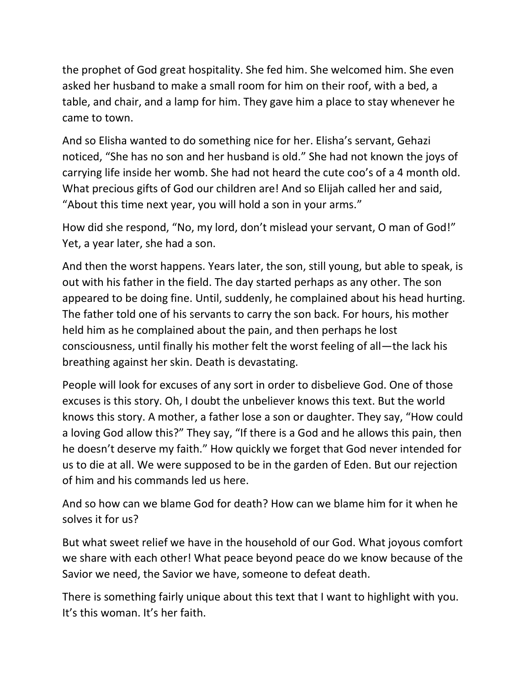the prophet of God great hospitality. She fed him. She welcomed him. She even asked her husband to make a small room for him on their roof, with a bed, a table, and chair, and a lamp for him. They gave him a place to stay whenever he came to town.

And so Elisha wanted to do something nice for her. Elisha's servant, Gehazi noticed, "She has no son and her husband is old." She had not known the joys of carrying life inside her womb. She had not heard the cute coo's of a 4 month old. What precious gifts of God our children are! And so Elijah called her and said, "About this time next year, you will hold a son in your arms."

How did she respond, "No, my lord, don't mislead your servant, O man of God!" Yet, a year later, she had a son.

And then the worst happens. Years later, the son, still young, but able to speak, is out with his father in the field. The day started perhaps as any other. The son appeared to be doing fine. Until, suddenly, he complained about his head hurting. The father told one of his servants to carry the son back. For hours, his mother held him as he complained about the pain, and then perhaps he lost consciousness, until finally his mother felt the worst feeling of all—the lack his breathing against her skin. Death is devastating.

People will look for excuses of any sort in order to disbelieve God. One of those excuses is this story. Oh, I doubt the unbeliever knows this text. But the world knows this story. A mother, a father lose a son or daughter. They say, "How could a loving God allow this?" They say, "If there is a God and he allows this pain, then he doesn't deserve my faith." How quickly we forget that God never intended for us to die at all. We were supposed to be in the garden of Eden. But our rejection of him and his commands led us here.

And so how can we blame God for death? How can we blame him for it when he solves it for us?

But what sweet relief we have in the household of our God. What joyous comfort we share with each other! What peace beyond peace do we know because of the Savior we need, the Savior we have, someone to defeat death.

There is something fairly unique about this text that I want to highlight with you. It's this woman. It's her faith.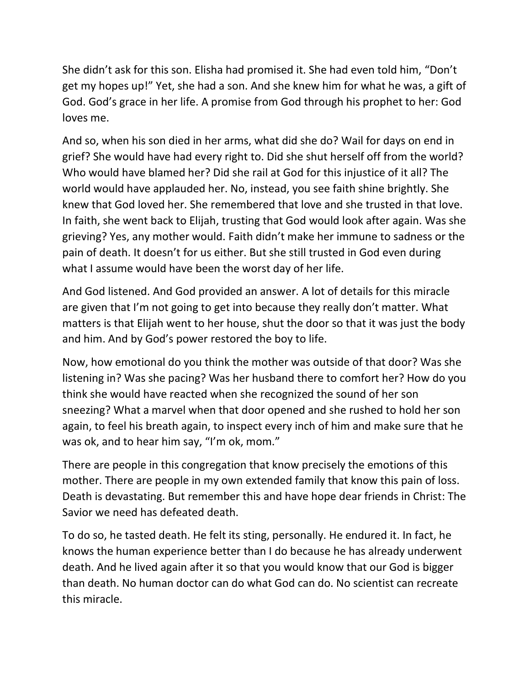She didn't ask for this son. Elisha had promised it. She had even told him, "Don't get my hopes up!" Yet, she had a son. And she knew him for what he was, a gift of God. God's grace in her life. A promise from God through his prophet to her: God loves me.

And so, when his son died in her arms, what did she do? Wail for days on end in grief? She would have had every right to. Did she shut herself off from the world? Who would have blamed her? Did she rail at God for this injustice of it all? The world would have applauded her. No, instead, you see faith shine brightly. She knew that God loved her. She remembered that love and she trusted in that love. In faith, she went back to Elijah, trusting that God would look after again. Was she grieving? Yes, any mother would. Faith didn't make her immune to sadness or the pain of death. It doesn't for us either. But she still trusted in God even during what I assume would have been the worst day of her life.

And God listened. And God provided an answer. A lot of details for this miracle are given that I'm not going to get into because they really don't matter. What matters is that Elijah went to her house, shut the door so that it was just the body and him. And by God's power restored the boy to life.

Now, how emotional do you think the mother was outside of that door? Was she listening in? Was she pacing? Was her husband there to comfort her? How do you think she would have reacted when she recognized the sound of her son sneezing? What a marvel when that door opened and she rushed to hold her son again, to feel his breath again, to inspect every inch of him and make sure that he was ok, and to hear him say, "I'm ok, mom."

There are people in this congregation that know precisely the emotions of this mother. There are people in my own extended family that know this pain of loss. Death is devastating. But remember this and have hope dear friends in Christ: The Savior we need has defeated death.

To do so, he tasted death. He felt its sting, personally. He endured it. In fact, he knows the human experience better than I do because he has already underwent death. And he lived again after it so that you would know that our God is bigger than death. No human doctor can do what God can do. No scientist can recreate this miracle.